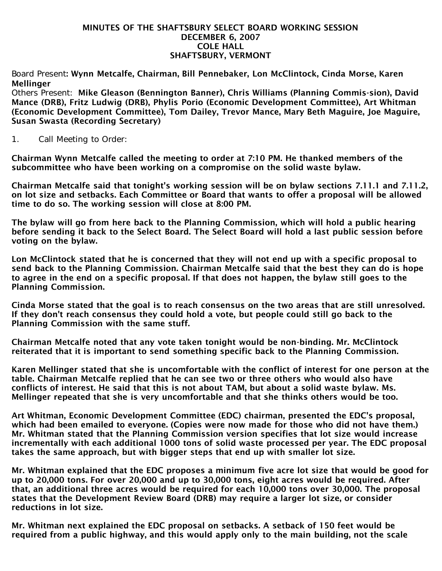## MINUTES OF THE SHAFTSBURY SELECT BOARD WORKING SESSION DECEMBER 6, 2007 COLE HALL SHAFTSBURY, VERMONT

Board Present: Wynn Metcalfe, Chairman, Bill Pennebaker, Lon McClintock, Cinda Morse, Karen **Mellinger** 

Others Present: Mike Gleason (Bennington Banner), Chris Williams (Planning Commis-sion), David Mance (DRB), Fritz Ludwig (DRB), Phylis Porio (Economic Development Committee), Art Whitman (Economic Development Committee), Tom Dailey, Trevor Mance, Mary Beth Maguire, Joe Maguire, Susan Swasta (Recording Secretary)

1. Call Meeting to Order:

Chairman Wynn Metcalfe called the meeting to order at 7:10 PM. He thanked members of the subcommittee who have been working on a compromise on the solid waste bylaw.

Chairman Metcalfe said that tonight's working session will be on bylaw sections 7.11.1 and 7.11.2, on lot size and setbacks. Each Committee or Board that wants to offer a proposal will be allowed time to do so. The working session will close at 8:00 PM.

The bylaw will go from here back to the Planning Commission, which will hold a public hearing before sending it back to the Select Board. The Select Board will hold a last public session before voting on the bylaw.

Lon McClintock stated that he is concerned that they will not end up with a specific proposal to send back to the Planning Commission. Chairman Metcalfe said that the best they can do is hope to agree in the end on a specific proposal. If that does not happen, the bylaw still goes to the Planning Commission.

Cinda Morse stated that the goal is to reach consensus on the two areas that are still unresolved. If they don't reach consensus they could hold a vote, but people could still go back to the Planning Commission with the same stuff.

Chairman Metcalfe noted that any vote taken tonight would be non-binding. Mr. McClintock reiterated that it is important to send something specific back to the Planning Commission.

Karen Mellinger stated that she is uncomfortable with the conflict of interest for one person at the table. Chairman Metcalfe replied that he can see two or three others who would also have conflicts of interest. He said that this is not about TAM, but about a solid waste bylaw. Ms. Mellinger repeated that she is very uncomfortable and that she thinks others would be too.

Art Whitman, Economic Development Committee (EDC) chairman, presented the EDC's proposal, which had been emailed to everyone. (Copies were now made for those who did not have them.) Mr. Whitman stated that the Planning Commission version specifies that lot size would increase incrementally with each additional 1000 tons of solid waste processed per year. The EDC proposal takes the same approach, but with bigger steps that end up with smaller lot size.

Mr. Whitman explained that the EDC proposes a minimum five acre lot size that would be good for up to 20,000 tons. For over 20,000 and up to 30,000 tons, eight acres would be required. After that, an additional three acres would be required for each 10,000 tons over 30,000. The proposal states that the Development Review Board (DRB) may require a larger lot size, or consider reductions in lot size.

Mr. Whitman next explained the EDC proposal on setbacks. A setback of 150 feet would be required from a public highway, and this would apply only to the main building, not the scale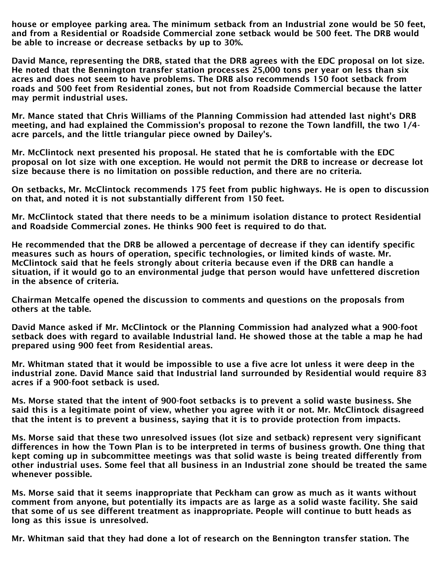house or employee parking area. The minimum setback from an Industrial zone would be 50 feet, and from a Residential or Roadside Commercial zone setback would be 500 feet. The DRB would be able to increase or decrease setbacks by up to 30%.

David Mance, representing the DRB, stated that the DRB agrees with the EDC proposal on lot size. He noted that the Bennington transfer station processes 25,000 tons per year on less than six acres and does not seem to have problems. The DRB also recommends 150 foot setback from roads and 500 feet from Residential zones, but not from Roadside Commercial because the latter may permit industrial uses.

Mr. Mance stated that Chris Williams of the Planning Commission had attended last night's DRB meeting, and had explained the Commission's proposal to rezone the Town landfill, the two 1/4 acre parcels, and the little triangular piece owned by Dailey's.

Mr. McClintock next presented his proposal. He stated that he is comfortable with the EDC proposal on lot size with one exception. He would not permit the DRB to increase or decrease lot size because there is no limitation on possible reduction, and there are no criteria.

On setbacks, Mr. McClintock recommends 175 feet from public highways. He is open to discussion on that, and noted it is not substantially different from 150 feet.

Mr. McClintock stated that there needs to be a minimum isolation distance to protect Residential and Roadside Commercial zones. He thinks 900 feet is required to do that.

He recommended that the DRB be allowed a percentage of decrease if they can identify specific measures such as hours of operation, specific technologies, or limited kinds of waste. Mr. McClintock said that he feels strongly about criteria because even if the DRB can handle a situation, if it would go to an environmental judge that person would have unfettered discretion in the absence of criteria.

Chairman Metcalfe opened the discussion to comments and questions on the proposals from others at the table.

David Mance asked if Mr. McClintock or the Planning Commission had analyzed what a 900-foot setback does with regard to available Industrial land. He showed those at the table a map he had prepared using 900 feet from Residential areas.

Mr. Whitman stated that it would be impossible to use a five acre lot unless it were deep in the industrial zone. David Mance said that Industrial land surrounded by Residential would require 83 acres if a 900-foot setback is used.

Ms. Morse stated that the intent of 900-foot setbacks is to prevent a solid waste business. She said this is a legitimate point of view, whether you agree with it or not. Mr. McClintock disagreed that the intent is to prevent a business, saying that it is to provide protection from impacts.

Ms. Morse said that these two unresolved issues (lot size and setback) represent very significant differences in how the Town Plan is to be interpreted in terms of business growth. One thing that kept coming up in subcommittee meetings was that solid waste is being treated differently from other industrial uses. Some feel that all business in an Industrial zone should be treated the same whenever possible.

Ms. Morse said that it seems inappropriate that Peckham can grow as much as it wants without comment from anyone, but potentially its impacts are as large as a solid waste facility. She said that some of us see different treatment as inappropriate. People will continue to butt heads as long as this issue is unresolved.

Mr. Whitman said that they had done a lot of research on the Bennington transfer station. The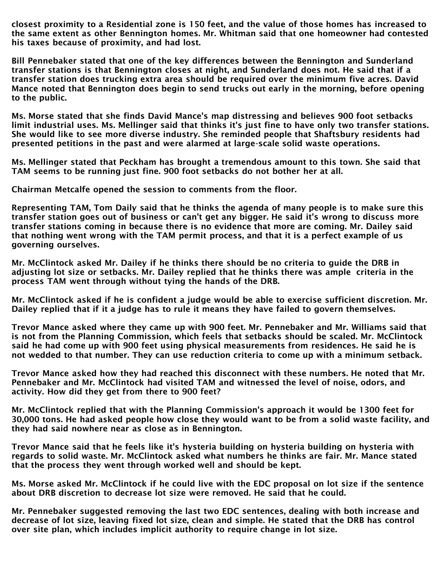closest proximity to a Residential zone is 150 feet, and the value of those homes has increased to the same extent as other Bennington homes. Mr. Whitman said that one homeowner had contested his taxes because of proximity, and had lost.

Bill Pennebaker stated that one of the key differences between the Bennington and Sunderland transfer stations is that Bennington closes at night, and Sunderland does not. He said that if a transfer station does trucking extra area should be required over the minimum five acres. David Mance noted that Bennington does begin to send trucks out early in the morning, before opening to the public.

Ms. Morse stated that she finds David Mance's map distressing and believes 900 foot setbacks limit industrial uses. Ms. Mellinger said that thinks it's just fine to have only two transfer stations. She would like to see more diverse industry. She reminded people that Shaftsbury residents had presented petitions in the past and were alarmed at large-scale solid waste operations.

Ms. Mellinger stated that Peckham has brought a tremendous amount to this town. She said that TAM seems to be running just fine. 900 foot setbacks do not bother her at all.

Chairman Metcalfe opened the session to comments from the floor.

Representing TAM, Tom Daily said that he thinks the agenda of many people is to make sure this transfer station goes out of business or can't get any bigger. He said it's wrong to discuss more transfer stations coming in because there is no evidence that more are coming. Mr. Dailey said that nothing went wrong with the TAM permit process, and that it is a perfect example of us governing ourselves.

Mr. McClintock asked Mr. Dailey if he thinks there should be no criteria to guide the DRB in adjusting lot size or setbacks. Mr. Dailey replied that he thinks there was ample criteria in the process TAM went through without tying the hands of the DRB.

Mr. McClintock asked if he is confident a judge would be able to exercise sufficient discretion. Mr. Dailey replied that if it a judge has to rule it means they have failed to govern themselves.

Trevor Mance asked where they came up with 900 feet. Mr. Pennebaker and Mr. Williams said that is not from the Planning Commission, which feels that setbacks should be scaled. Mr. McClintock said he had come up with 900 feet using physical measurements from residences. He said he is not wedded to that number. They can use reduction criteria to come up with a minimum setback.

Trevor Mance asked how they had reached this disconnect with these numbers. He noted that Mr. Pennebaker and Mr. McClintock had visited TAM and witnessed the level of noise, odors, and activity. How did they get from there to 900 feet?

Mr. McClintock replied that with the Planning Commission's approach it would be 1300 feet for 30,000 tons. He had asked people how close they would want to be from a solid waste facility, and they had said nowhere near as close as in Bennington.

Trevor Mance said that he feels like it's hysteria building on hysteria building on hysteria with regards to solid waste. Mr. McClintock asked what numbers he thinks are fair. Mr. Mance stated that the process they went through worked well and should be kept.

Ms. Morse asked Mr. McClintock if he could live with the EDC proposal on lot size if the sentence about DRB discretion to decrease lot size were removed. He said that he could.

Mr. Pennebaker suggested removing the last two EDC sentences, dealing with both increase and decrease of lot size, leaving fixed lot size, clean and simple. He stated that the DRB has control over site plan, which includes implicit authority to require change in lot size.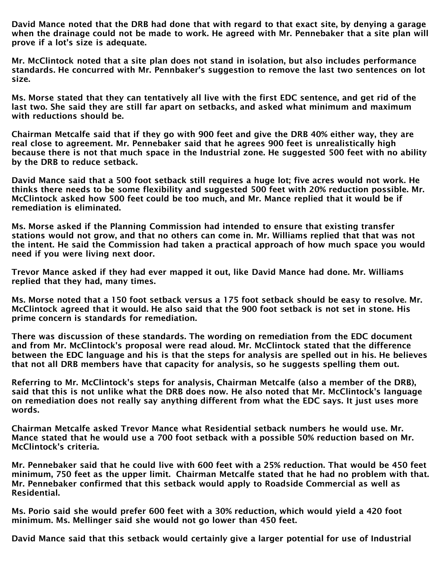David Mance noted that the DRB had done that with regard to that exact site, by denying a garage when the drainage could not be made to work. He agreed with Mr. Pennebaker that a site plan will prove if a lot's size is adequate.

Mr. McClintock noted that a site plan does not stand in isolation, but also includes performance standards. He concurred with Mr. Pennbaker's suggestion to remove the last two sentences on lot size.

Ms. Morse stated that they can tentatively all live with the first EDC sentence, and get rid of the last two. She said they are still far apart on setbacks, and asked what minimum and maximum with reductions should be.

Chairman Metcalfe said that if they go with 900 feet and give the DRB 40% either way, they are real close to agreement. Mr. Pennebaker said that he agrees 900 feet is unrealistically high because there is not that much space in the Industrial zone. He suggested 500 feet with no ability by the DRB to reduce setback.

David Mance said that a 500 foot setback still requires a huge lot; five acres would not work. He thinks there needs to be some flexibility and suggested 500 feet with 20% reduction possible. Mr. McClintock asked how 500 feet could be too much, and Mr. Mance replied that it would be if remediation is eliminated.

Ms. Morse asked if the Planning Commission had intended to ensure that existing transfer stations would not grow, and that no others can come in. Mr. Williams replied that that was not the intent. He said the Commission had taken a practical approach of how much space you would need if you were living next door.

Trevor Mance asked if they had ever mapped it out, like David Mance had done. Mr. Williams replied that they had, many times.

Ms. Morse noted that a 150 foot setback versus a 175 foot setback should be easy to resolve. Mr. McClintock agreed that it would. He also said that the 900 foot setback is not set in stone. His prime concern is standards for remediation.

There was discussion of these standards. The wording on remediation from the EDC document and from Mr. McClintock's proposal were read aloud. Mr. McClintock stated that the difference between the EDC language and his is that the steps for analysis are spelled out in his. He believes that not all DRB members have that capacity for analysis, so he suggests spelling them out.

Referring to Mr. McClintock's steps for analysis, Chairman Metcalfe (also a member of the DRB), said that this is not unlike what the DRB does now. He also noted that Mr. McClintock's language on remediation does not really say anything different from what the EDC says. It just uses more words.

Chairman Metcalfe asked Trevor Mance what Residential setback numbers he would use. Mr. Mance stated that he would use a 700 foot setback with a possible 50% reduction based on Mr. McClintock's criteria.

Mr. Pennebaker said that he could live with 600 feet with a 25% reduction. That would be 450 feet minimum, 750 feet as the upper limit. Chairman Metcalfe stated that he had no problem with that. Mr. Pennebaker confirmed that this setback would apply to Roadside Commercial as well as Residential.

Ms. Porio said she would prefer 600 feet with a 30% reduction, which would yield a 420 foot minimum. Ms. Mellinger said she would not go lower than 450 feet.

David Mance said that this setback would certainly give a larger potential for use of Industrial